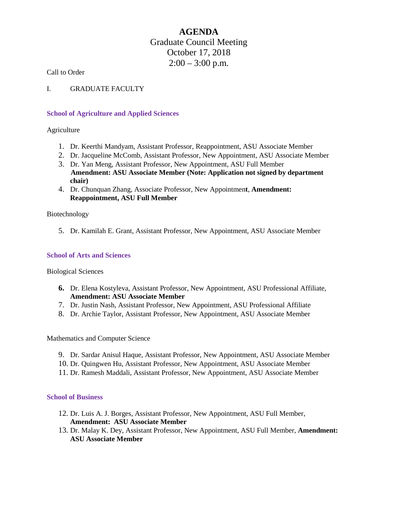# **AGENDA** Graduate Council Meeting October 17, 2018  $2:00 - 3:00$  p.m.

Call to Order

I. GRADUATE FACULTY

### **School of Agriculture and Applied Sciences**

Agriculture

- 1. Dr. Keerthi Mandyam, Assistant Professor, Reappointment, ASU Associate Member
- 2. Dr. Jacqueline McComb, Assistant Professor, New Appointment, ASU Associate Member
- 3. Dr. Yan Meng, Assistant Professor, New Appointment, ASU Full Member **Amendment: ASU Associate Member (Note: Application not signed by department chair)**
- 4. Dr. Chunquan Zhang, Associate Professor, New Appointmen**t**, **Amendment: Reappointment, ASU Full Member**

Biotechnology

5. Dr. Kamilah E. Grant, Assistant Professor, New Appointment, ASU Associate Member

## **School of Arts and Sciences**

Biological Sciences

- **6.** Dr. Elena Kostyleva, Assistant Professor, New Appointment, ASU Professional Affiliate, **Amendment: ASU Associate Member**
- 7. Dr. Justin Nash, Assistant Professor, New Appointment, ASU Professional Affiliate
- 8. Dr. Archie Taylor, Assistant Professor, New Appointment, ASU Associate Member

Mathematics and Computer Science

- 9. Dr. Sardar Anisul Haque, Assistant Professor, New Appointment, ASU Associate Member
- 10. Dr. Quingwen Hu, Assistant Professor, New Appointment, ASU Associate Member
- 11. Dr. Ramesh Maddali, Assistant Professor, New Appointment, ASU Associate Member

### **School of Business**

- 12. Dr. Luis A. J. Borges, Assistant Professor, New Appointment, ASU Full Member, **Amendment: ASU Associate Member**
- 13. Dr. Malay K. Dey, Assistant Professor, New Appointment, ASU Full Member, **Amendment: ASU Associate Member**